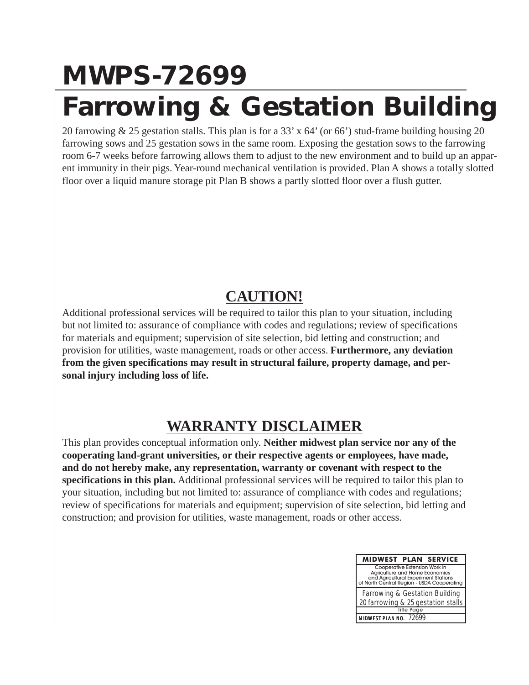## **MWPS-72699**

### **Farrowing & Gestation Building**

20 farrowing & 25 gestation stalls. This plan is for a 33' x 64' (or 66') stud-frame building housing 20 farrowing sows and 25 gestation sows in the same room. Exposing the gestation sows to the farrowing room 6-7 weeks before farrowing allows them to adjust to the new environment and to build up an apparent immunity in their pigs. Year-round mechanical ventilation is provided. Plan A shows a totally slotted floor over a liquid manure storage pit Plan B shows a partly slotted floor over a flush gutter.

### **CAUTION!**

Additional professional services will be required to tailor this plan to your situation, including but not limited to: assurance of compliance with codes and regulations; review of specifications for materials and equipment; supervision of site selection, bid letting and construction; and provision for utilities, waste management, roads or other access. **Furthermore, any deviation from the given specifications may result in structural failure, property damage, and personal injury including loss of life.**

### **WARRANTY DISCLAIMER**

This plan provides conceptual information only. **Neither midwest plan service nor any of the cooperating land-grant universities, or their respective agents or employees, have made, and do not hereby make, any representation, warranty or covenant with respect to the specifications in this plan.** Additional professional services will be required to tailor this plan to your situation, including but not limited to: assurance of compliance with codes and regulations; review of specifications for materials and equipment; supervision of site selection, bid letting and construction; and provision for utilities, waste management, roads or other access.

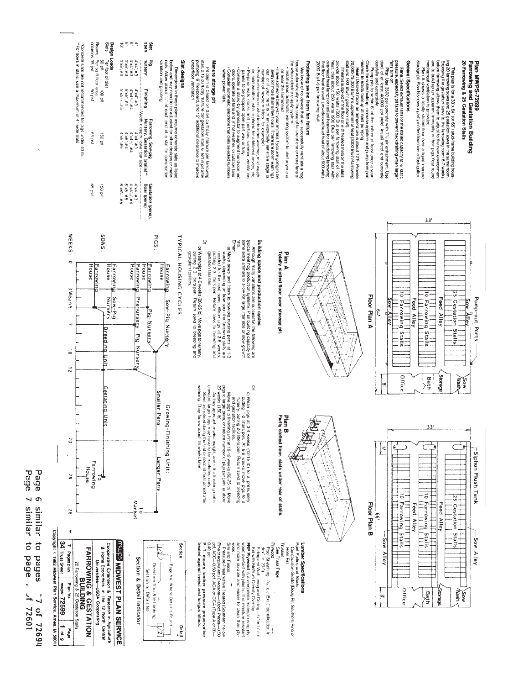20 Farrowing & 25 Gestation Stalls Plan MWPS-72699<br>Farrowing and Gestation Building

in the plan is tor a 33 x 54' (or 66') stud-is me building hous-<br>in 2016, the gestation sower to the tarowing room 6-7 weeks<br>action the gestation sower to the tarowing room 6-7 weeks<br>action build up an appear in mnumbly i

# General Specifications

**Fans:** Select exhaust fans for the stated capacity at 14" static<br>pressure, especially pri fans to prevent backdraffing when large

**Plts:** Use 3500 psi concrete with  $7\%$  air entrainment. Use<br>steel in a t least 40.000 psi yield. Install steel and concrete<br>steel in a t least 40.000 psi yield. Install steel and concrete fans turn on

carefully and accurately.<br>Pump pits to within 6" of the bottom at least once a year

Check for solids buildup: increase agitation and pump from port

nearast to solido buildulp at next puringing at exception<br>20.000-75.000 Blu-fr grasplemental heal (3000 Blu-fr farrowing<br>18 and and COV Blu-fr grasplemental heal (3000 Blu-fr farrowing state)<br>18 and 2000-75.000 Blu-fr gras (2000 Bluhr) per farrowing stali.

# Protecting swine from fan failure

We krow of on over the that is used in the profile a Fog<br>hosted in the section of the section of one or more larger<br>hosted effectio supply system.<br>the whole effectio supply system to alert anyone at

- or near the farmstead.
- **· Have Borneore batry-sit yours infinals if you are going to be<br>able to the first particular in an especially sensitive stage (a<br>out, or if your herd is m an especially sensitive stage (a<br>mmber of rewborn lifters, for exa**
- 
- e, cold weather, who to phone to california advice, etc.<br>The present of the property of the cold of the cold of the state of the cold of the cold of the cold of the co<br>The present of the cold of the cold of the cold of the
- when power fails

## Manure storage pit

Pi depthi is based on 0.54 cu fruay manure per farrowing<br>stal, prime per la province per gestaton stal, 6 'left n pi atter<br>pumping 6'' freeboy manure per gestaton stal, 6' left n pi atter<br>underfloor vernitation

## Srighseb 1813

Buinout pue unique Dimensions in these plans assume concrete slats as listed<br>below and may need to be adjusted for other designs or mate-<br>hals. Allow about 127 at each end of a stat for construction

| Design Loads | 4 x5" #4<br>$5*79.58$<br><b>4 x6 #5</b> | $6 + 5 - 43$<br>$P#$ . $SX$ . $S$<br>4.86. #4 | 24.74.75<br>$p# \exists \exists x \forall x \exists y$<br><b>D# SLDX.D</b> | 2#'.bX.b<br>474.48<br>$E#$ $pX_p$ | ueds<br>Sat<br>nursery'<br>۵e<br><b>Finishing</b><br>--- Width x depth. lower bar size ----<br>Farrowing, Sow-pig<br>Nursery, Gestation (stalls)** |
|--------------|-----------------------------------------|-----------------------------------------------|----------------------------------------------------------------------------|-----------------------------------|----------------------------------------------------------------------------------------------------------------------------------------------------|
|              | $5*791.9$                               | 9.34.942                                      | <b>D# 34.0X.D</b>                                                          | £#`.tx.t                          | Boar (pens)<br>Gestation (pens).                                                                                                                   |

| <b>Design Loads</b><br>Siats Per fo | Per foot of slat                             |                                                           |                   |                |
|-------------------------------------|----------------------------------------------|-----------------------------------------------------------|-------------------|----------------|
|                                     | <b>SO plf</b>                                | <b>100 pH</b>                                             | gi<br>g           | <b>ISO</b> pit |
|                                     |                                              |                                                           |                   |                |
|                                     | Beams, Per sq filtior area<br>columns 35 psf |                                                           | ISO <sub>59</sub> | es pst         |
|                                     |                                              | "Concrete stats are not recommended tor pigs under 40 tb. |                   |                |
|                                     |                                              |                                                           |                   |                |

SMOS

**arrowin** 

House Farrowi House

sows in stalls, use a maximum of 4" wide slats

WEEKS:

 $\circ$ 

.<br>बुं ठूं



 $\Rightarrow$ 

 $25$  Gestation Stalls

**Sow**<br>Mash

Siphon Flush Tank

 $-50M$ 

Alley

Ċ



Although many varialions are successful, the following are the principle of the following are the stress of the production systems. Plan building the stress of space of space of space of space of space of space of space of Building space and production cycles

EITIBR

- a) Move, sows and it liters to sow-pop nursing pers at 1-3 and 1-3 and 1-3 and the source of the next sows. Wean pigs at 3-6 weeks, putting 2-3 itties per. Relux sources the mean of the next sows. Wean pigs at 3-6 weeks, gestation facilities.
- Q b) Wean pigs at 4-6 weeks (20-25 b); Move pigs to nursery,<br>putting 2-3 ittlers/pen. Return sows to breeding and gestation facilities



PICS:

House

 $\boxed{\frac{1}{2}}$ 

Detail<br>L

arrowing

House

Farrowi

House arrowin



Page Page  $\circ$  $\overline{\phantom{0}}$ similar to pages similar to page Jf 72601 ~7 of 72694

Copyright < 1982 Midwest Plan Service, Ames, IA 50011

 $\frac{1}{6}$  or 9

 $65%$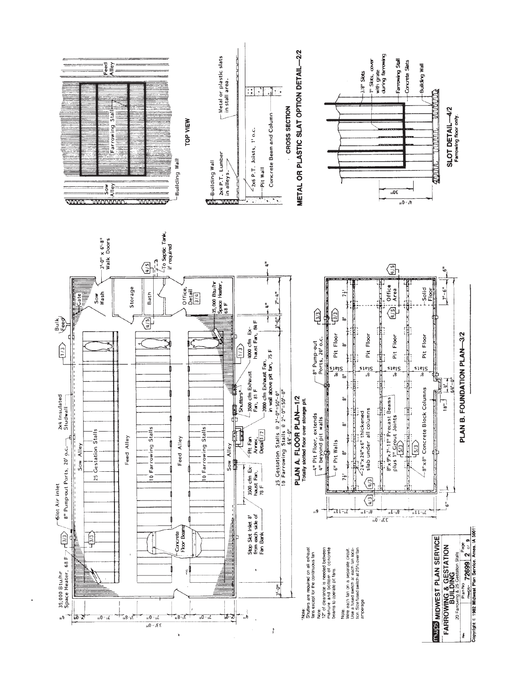

ł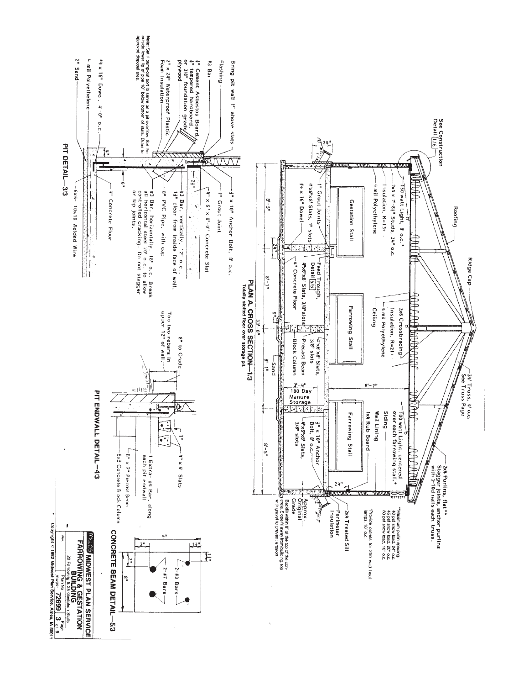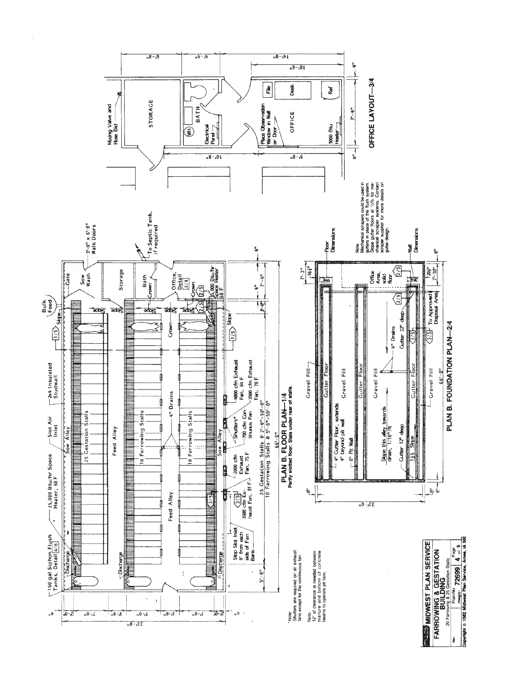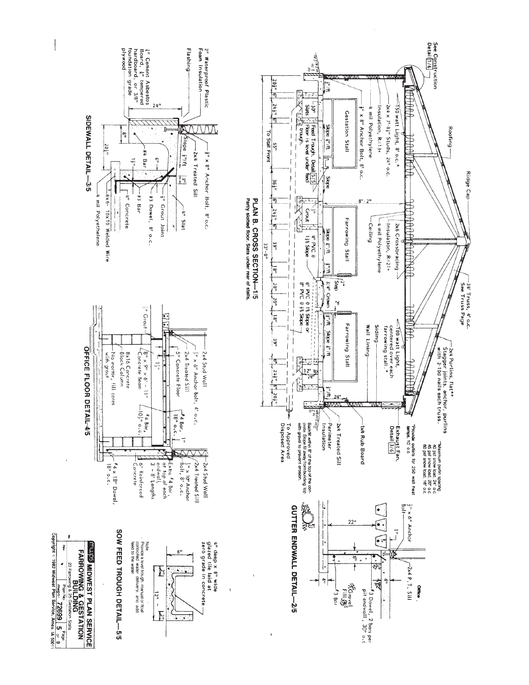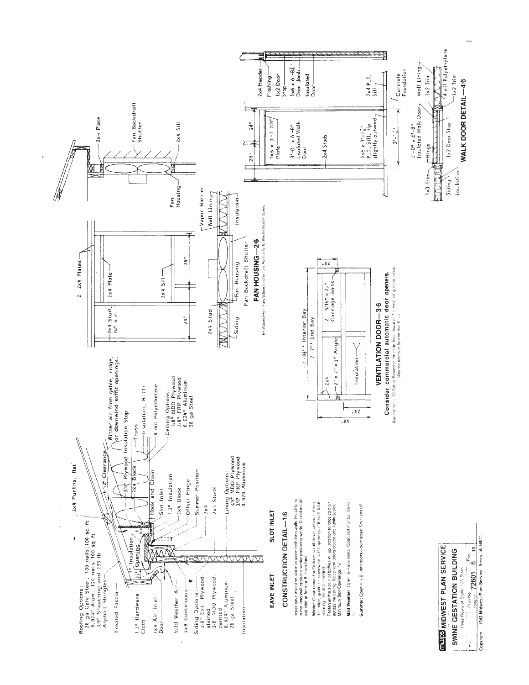